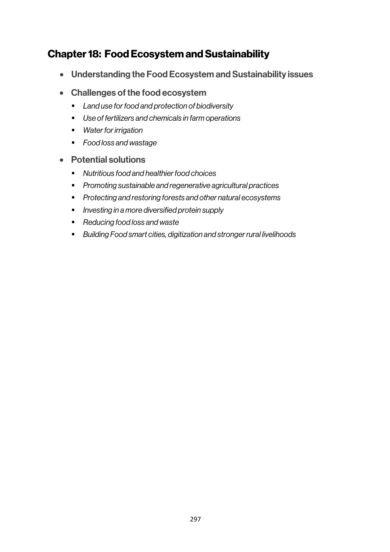# Chapter 18: Food Ecosystem and Sustainability

- Understanding the Food Ecosystem and Sustainability issues
- Challenges of the food ecosystem
	- § *Land use for food and protection of biodiversity*
	- § *Use of fertilizers and chemicals in farm operations*
	- § *Water for irrigation*
	- § *Food loss and wastage*
- Potential solutions
	- *Nutritious food and healthier food choices*
	- § *Promoting sustainable and regenerative agricultural practices*
	- § *Protecting and restoring forests and other natural ecosystems*
	- § *Investing in a more diversified protein supply*
	- § *Reducing food loss and waste*
	- *Building Food smart cities, digitization and stronger rural livelihoods*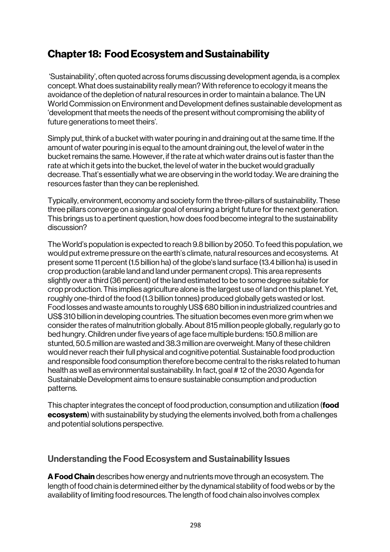# Chapter 18: Food Ecosystem and Sustainability

'Sustainability', often quoted across forums discussing development agenda, is a complex concept. What does sustainability really mean? With reference to ecology it means the avoidance of the depletion of natural resources in order to maintain a balance. The UN World Commission on Environment and Development defines sustainable development as 'development that meets the needs of the present without compromising the ability of future generations to meet theirs'.

Simply put, think of a bucket with water pouring in and draining out at the same time. If the amount of water pouring in is equal to the amount draining out, the level of water in the bucket remains the same. However, if the rate at which water drains out is faster than the rate at which it gets into the bucket, the level of water in the bucket would gradually decrease. That's essentially what we are observing in the world today. We are draining the resources faster than they can be replenished.

Typically, environment, economy and society form the three-pillars of sustainability. These three pillars converge on a singular goal of ensuring a bright future for the next generation. This brings us to a pertinent question, how does food become integral to the sustainability discussion?

The World's population is expected to reach 9.8 billion by 2050. To feed this population, we would put extreme pressure on the earth's climate, natural resources and ecosystems. At present some 11 percent (1.5 billion ha) of the globe's land surface (13.4 billion ha) is used in crop production (arable land and land under permanent crops). This area represents slightly over a third (36 percent) of the land estimated to be to some degree suitable for crop production. This implies agriculture alone is the largest use of land on this planet. Yet, roughly one-third of the food (1.3 billion tonnes) produced globally gets wasted or lost. Food losses and waste amounts to roughly US\$ 680 billion in industrialized countries and US\$ 310 billion in developing countries. The situation becomes even more grim when we consider the rates of malnutrition globally. About 815 million people globally, regularly go to bed hungry. Children under five years of age face multiple burdens: 150.8 million are stunted, 50.5 million are wasted and 38.3 million are overweight. Many of these children would never reach their full physical and cognitive potential. Sustainable food production and responsible food consumption therefore become central to the risks related to human health as well as environmental sustainability. In fact, goal # 12 of the 2030 Agenda for Sustainable Development aims to ensure sustainable consumption and production patterns.

This chapter integrates the concept of food production, consumption and utilization (**food** ecosystem) with sustainability by studying the elements involved, both from a challenges and potential solutions perspective.

# Understanding the Food Ecosystem and Sustainability Issues

A Food Chain describes how energy and nutrients move through an ecosystem. The length of food chain is determined either by the dynamical stability of food webs or by the availability of limiting food resources. The length of food chain also involves complex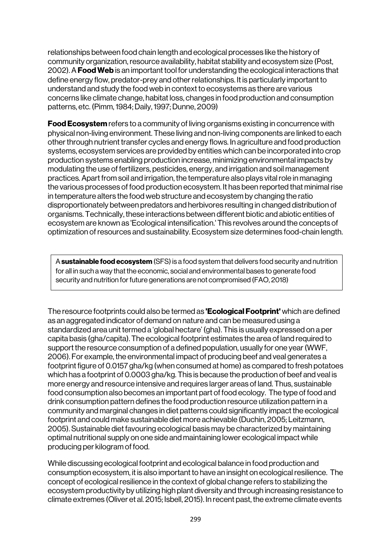relationships between food chain length and ecological processes like the history of community organization, resource availability, habitat stability and ecosystem size (Post, 2002). A **Food Web** is an important tool for understanding the ecological interactions that define energy flow, predator-prey and other relationships. It is particularly important to understand and study the food web in context to ecosystems as there are various concerns like climate change, habitat loss, changes in food production and consumption patterns, etc. (Pimm, 1984; Daily, 1997; Dunne, 2009)

**Food Ecosystem** refers to a community of living organisms existing in concurrence with physical non-living environment. These living and non-living components are linked to each other through nutrient transfer cycles and energy flows. In agriculture and food production systems, ecosystem services are provided by entities which can be incorporated into crop production systems enabling production increase, minimizing environmental impacts by modulating the use of fertilizers, pesticides, energy, and irrigation and soil management practices. Apart from soil and irrigation, the temperature also plays vital role in managing the various processes of food production ecosystem. It has been reported that minimal rise in temperature alters the food web structure and ecosystem by changing the ratio disproportionately between predators and herbivores resulting in changed distribution of organisms. Technically, these interactions between different biotic and abiotic entities of ecosystem are known as 'Ecological intensification.' This revolves around the concepts of optimization of resources and sustainability. Ecosystem size determines food-chain length.

A sustainable food ecosystem (SFS) is a food system that delivers food security and nutrition for all in such a way that the economic, social and environmental bases to generate food security and nutrition for future generations are not compromised (FAO, 2018)

The resource footprints could also be termed as **'Ecological Footprint'** which are defined as an aggregated indicator of demand on nature and can be measured using a standardized area unit termed a 'global hectare' (gha). This is usually expressed on a per capita basis (gha/capita). The ecological footprint estimates the area of land required to support the resource consumption of a defined population, usually for one year (WWF, 2006). For example, the environmental impact of producing beef and veal generates a footprint figure of 0.0157 gha/kg (when consumed at home) as compared to fresh potatoes which has a footprint of 0.0003 gha/kg. This is because the production of beef and veal is more energy and resource intensive and requires larger areas of land. Thus, sustainable food consumption also becomes an important part of food ecology. The type of food and drink consumption pattern defines the food production resource utilization pattern in a community and marginal changes in diet patterns could significantly impact the ecological footprint and could make sustainable diet more achievable (Duchin, 2005; Leitzmann, 2005). Sustainable diet favouring ecological basis may be characterized by maintaining optimal nutritional supply on one side and maintaining lower ecological impact while producing per kilogram of food.

While discussing ecological footprint and ecological balance in food production and consumption ecosystem, it is also important to have an insight on ecological resilience. The concept of ecological resilience in the context of global change refers to stabilizing the ecosystem productivity by utilizing high plant diversity and through increasing resistance to climate extremes (Oliver et al. 2015; Isbell, 2015). In recent past, the extreme climate events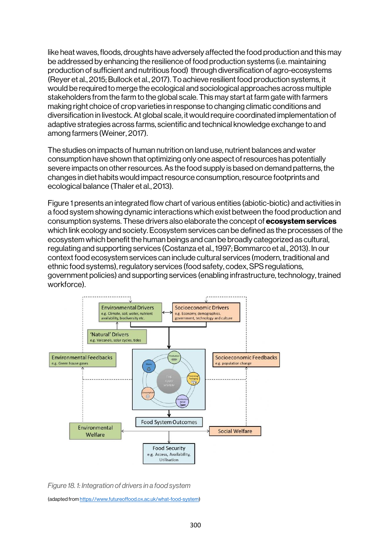like heat waves, floods, droughts have adversely affected the food production and this may be addressed by enhancing the resilience of food production systems (i.e. maintaining production of sufficient and nutritious food) through diversification of agro-ecosystems (Reyer et al., 2015; Bullock et al., 2017). To achieve resilient food production systems, it would be required to merge the ecological and sociological approaches across multiple stakeholders from the farm to the global scale. This may start at farm gate with farmers making right choice of crop varieties in response to changing climatic conditions and diversification in livestock. At global scale, it would require coordinated implementation of adaptive strategies across farms, scientific and technical knowledge exchange to and among farmers (Weiner, 2017).

The studies on impacts of human nutrition on land use, nutrient balances and water consumption have shown that optimizing only one aspect of resources has potentially severe impacts on other resources. As the food supply is based on demand patterns, the changes in diet habits would impact resource consumption, resource footprints and ecological balance (Thaler et al., 2013).

Figure 1 presents an integrated flow chart of various entities (abiotic-biotic) and activities in a food system showing dynamic interactions which exist between the food production and consumption systems. These drivers also elaborate the concept of ecosystem services which link ecology and society. Ecosystem services can be defined as the processes of the ecosystem which benefit the human beings and can be broadly categorized as cultural, regulating and supporting services (Costanza et al., 1997; Bommarco et al., 2013). In our context food ecosystem services can include cultural services (modern, traditional and ethnic food systems), regulatory services (food safety, codex, SPS regulations, government policies) and supporting services (enabling infrastructure, technology, trained workforce).



*Figure 18. 1: Integration of drivers in a food system* 

(adapted from https://www.futureoffood.ox.ac.uk/what-food-system)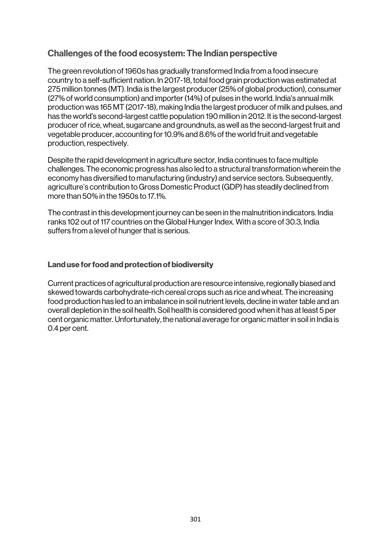# Challenges of the food ecosystem: The Indian perspective

The green revolution of 1960s has gradually transformed India from a food insecure country to a self-sufficient nation. In 2017-18, total food grain production was estimated at 275 million tonnes (MT). India is the largest producer (25% of global production), consumer (27% of world consumption) and importer (14%) of pulses in the world. India's annual milk production was 165 MT (2017-18), making India the largest producer of milk and pulses, and has the world's second-largest cattle population 190 million in 2012. It is the second-largest producer of rice, wheat, sugarcane and groundnuts, as well as the second-largest fruit and vegetable producer, accounting for 10.9% and 8.6% of the world fruit and vegetable production, respectively.

Despite the rapid development in agriculture sector, India continues to face multiple challenges. The economic progress has also led to a structural transformation wherein the economy has diversified to manufacturing (industry) and service sectors. Subsequently, agriculture's contribution to Gross Domestic Product (GDP) has steadily declined from more than 50% in the 1950s to 17.1%.

The contrast in this development journey can be seen in the malnutrition indicators. India ranks 102 out of 117 countries on the Global Hunger Index. With a score of 30.3, India suffers from a level of hunger that is serious.

### Land use for food and protection of biodiversity

Current practices of agricultural production are resource intensive, regionally biased and skewed towards carbohydrate-rich cereal crops such as rice and wheat. The increasing food production has led to an imbalance in soil nutrient levels, decline in water table and an overall depletion in the soil health. Soil health is considered good when it has at least 5 per cent organic matter. Unfortunately, the national average for organic matter in soil in India is 0.4 per cent.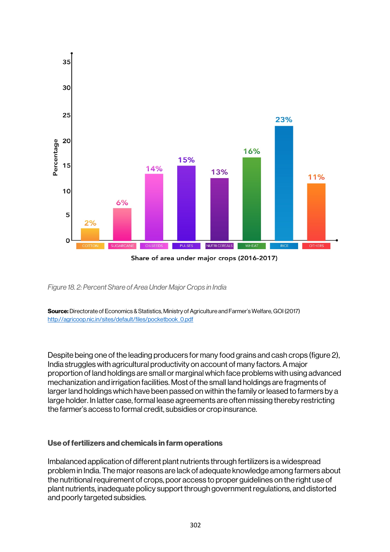

*Figure 18. 2: Percent Share of Area Under Major Crops in India*

Source: Directorate of Economics & Statistics, Ministry of Agriculture and Farmer's Welfare, GOI (2017) http://agricoop.nic.in/sites/default/files/pocketbook\_0.pdf

Despite being one of the leading producers for many food grains and cash crops (figure 2), India struggles with agricultural productivity on account of many factors. A major proportion of land holdings are small or marginal which face problems with using advanced mechanization and irrigation facilities. Most of the small land holdings are fragments of larger land holdings which have been passed on within the family or leased to farmers by a large holder. In latter case, formal lease agreements are often missing thereby restricting the farmer's access to formal credit, subsidies or crop insurance.

#### Use of fertilizers and chemicals in farm operations

Imbalanced application of different plant nutrients through fertilizers is a widespread problem in India. The major reasons are lack of adequate knowledge among farmers about the nutritional requirement of crops, poor access to proper guidelines on the right use of plant nutrients, inadequate policy support through government regulations, and distorted and poorly targeted subsidies.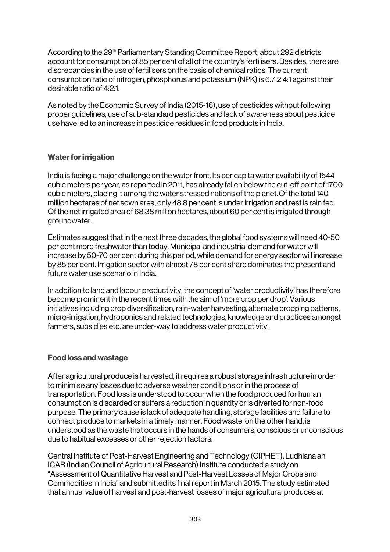According to the 29<sup>th</sup> Parliamentary Standing Committee Report, about 292 districts account for consumption of 85 per cent of all of the country's fertilisers. Besides, there are discrepancies in the use of fertilisers on the basis of chemical ratios. The current consumption ratio of nitrogen, phosphorus and potassium (NPK) is 6.7:2.4:1 against their desirable ratio of 4:2:1.

As noted by the Economic Survey of India (2015-16), use of pesticides without following proper guidelines, use of sub-standard pesticides and lack of awareness about pesticide use have led to an increase in pesticide residues in food products in India.

### Water for irrigation

India is facing a major challenge on the water front. Its per capita water availability of 1544 cubic meters per year, as reported in 2011, has already fallen below the cut-off point of 1700 cubic meters, placing it among the water stressed nations of the planet.Of the total 140 million hectares of net sown area, only 48.8 per cent is under irrigation and rest is rain fed. Of the net irrigated area of 68.38 million hectares, about 60 per cent is irrigated through groundwater.

Estimates suggest that in the next three decades, the global food systems will need 40-50 per cent more freshwater than today. Municipal and industrial demand for water will increase by 50-70 per cent during this period, while demand for energy sector will increase by 85 per cent. Irrigation sector with almost 78 per cent share dominates the present and future water use scenario in India.

In addition to land and labour productivity, the concept of 'water productivity' has therefore become prominent in the recent times with the aim of 'more crop per drop'. Various initiatives including crop diversification, rain-water harvesting, alternate cropping patterns, micro-irrigation, hydroponics and related technologies, knowledge and practices amongst farmers, subsidies etc. are under-way to address water productivity.

# Food loss and wastage

After agricultural produce is harvested, it requires a robust storage infrastructure in order to minimise any losses due to adverse weather conditions or in the process of transportation. Food loss is understood to occur when the food produced for human consumption is discarded or suffers a reduction in quantity or is diverted for non-food purpose. The primary cause is lack of adequate handling, storage facilities and failure to connect produce to markets in a timely manner. Food waste, on the other hand, is understood as the waste that occurs in the hands of consumers, conscious or unconscious due to habitual excesses or other rejection factors.

Central Institute of Post-Harvest Engineering and Technology (CIPHET), Ludhiana an ICAR (Indian Council of Agricultural Research) Institute conducted a study on "Assessment of Quantitative Harvest and Post-Harvest Losses of Major Crops and Commodities in India" and submitted its final report in March 2015. The study estimated that annual value of harvest and post-harvest losses of major agricultural produces at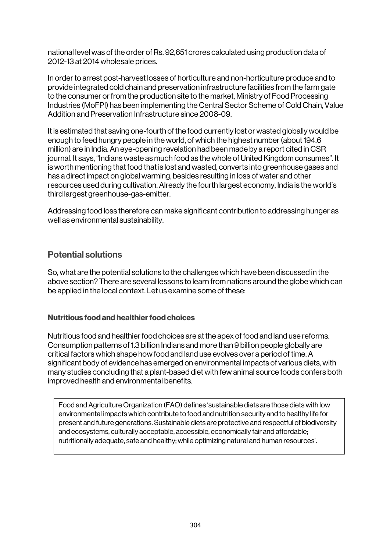national level was of the order of Rs. 92,651 crores calculated using production data of 2012-13 at 2014 wholesale prices.

In order to arrest post-harvest losses of horticulture and non-horticulture produce and to provide integrated cold chain and preservation infrastructure facilities from the farm gate to the consumer or from the production site to the market, Ministry of Food Processing Industries (MoFPI) has been implementing the Central Sector Scheme of Cold Chain, Value Addition and Preservation Infrastructure since 2008-09.

It is estimated that saving one-fourth of the food currently lost or wasted globally would be enough to feed hungry people in the world, of which the highest number (about 194.6 million) are in India.An eye-opening revelation had been made by a report cited in CSR journal. It says, "Indians waste as much food as the whole of United Kingdom consumes". It is worth mentioning that food that is lost and wasted, converts into greenhouse gases and has a direct impact on global warming, besides resulting in loss of water and other resources used during cultivation. Already the fourth largest economy, India is the world's third largest greenhouse-gas-emitter.

Addressing food loss therefore can make significant contribution to addressing hunger as well as environmental sustainability.

# Potential solutions

So, what are the potential solutions to the challenges which have been discussed in the above section? There are several lessons to learn from nations around the globe which can be applied in the local context. Let us examine some of these:

# Nutritious food and healthier food choices

Nutritious food and healthier food choices are at the apex of food and land use reforms. Consumption patterns of 1.3 billion Indians and more than 9 billion people globally are critical factors which shape how food and land use evolves over a period of time. A significant body of evidence has emerged on environmental impacts of various diets, with many studies concluding that a plant-based diet with few animal source foods confers both improved health and environmental benefits.

Food and Agriculture Organization (FAO) defines 'sustainable diets are those diets with low environmental impacts which contribute to food and nutrition security and to healthy life for present and future generations. Sustainable diets are protective and respectful of biodiversity and ecosystems, culturally acceptable, accessible, economically fair and affordable; nutritionally adequate, safe and healthy; while optimizing natural and human resources'.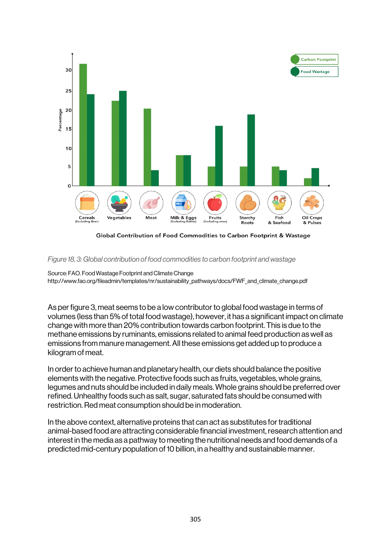

Global Contribution of Food Commodities to Carbon Footprint & Wastage

#### *Figure 18. 3: Global contribution of food commodities to carbon footprint and wastage*

Source: FAO. Food Wastage Footprint and Climate Change http://www.fao.org/fileadmin/templates/nr/sustainability\_pathways/docs/FWF\_and\_climate\_change.pdf

As per figure 3, meat seems to be a low contributor to global food wastage in terms of volumes (less than 5% of total food wastage), however, it has a significant impact on climate change with more than 20% contribution towards carbon footprint. This is due to the methane emissions by ruminants, emissions related to animal feed production as well as emissions from manure management. All these emissions get added up to produce a kilogram of meat.

In order to achieve human and planetary health, our diets should balance the positive elements with the negative. Protective foods such as fruits, vegetables, whole grains, legumes and nuts should be included in daily meals. Whole grains should be preferred over refined. Unhealthy foods such as salt, sugar, saturated fats should be consumed with restriction. Red meat consumption should be in moderation.

In the above context, alternative proteins that can act as substitutes for traditional animal-based food are attracting considerable financial investment, research attention and interest in the media as a pathway to meeting the nutritional needs and food demands of a predicted mid-century population of 10 billion, in a healthy and sustainable manner.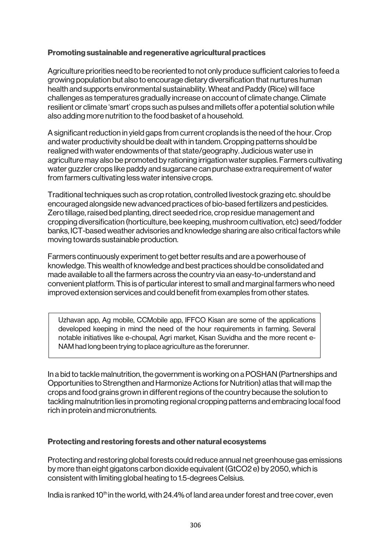### Promoting sustainable and regenerative agricultural practices

Agriculture priorities need to be reoriented to not only produce sufficient calories to feed a growing population but also to encourage dietary diversification that nurtures human health and supports environmental sustainability. Wheat and Paddy (Rice) will face challenges as temperatures gradually increase on account of climate change. Climate resilient or climate 'smart' crops such as pulses and millets offer a potential solution while also adding more nutrition to the food basket of a household.

A significant reduction in yield gaps from current croplands is the need of the hour. Crop and water productivity should be dealt with in tandem. Cropping patterns should be realigned with water endowments of that state/geography. Judicious water use in agriculture may also be promoted by rationing irrigation water supplies. Farmers cultivating water guzzler crops like paddy and sugarcane can purchase extra requirement of water from farmers cultivating less water intensive crops.

Traditional techniques such as crop rotation, controlled livestock grazing etc. should be encouraged alongside new advanced practices of bio-based fertilizers and pesticides. Zero tillage, raised bed planting, direct seeded rice, crop residue management and cropping diversification (horticulture, bee keeping, mushroom cultivation, etc) seed/fodder banks, ICT-based weather advisories and knowledge sharing are also critical factors while moving towards sustainable production.

Farmers continuously experiment to get better results and are a powerhouse of knowledge. This wealth of knowledge and best practices should be consolidated and made available to all the farmers across the country via an easy-to-understand and convenient platform. This is of particular interest to small and marginal farmers who need improved extension services and could benefit from examples from other states.

Uzhavan app, Ag mobile, CCMobile app, IFFCO Kisan are some of the applications developed keeping in mind the need of the hour requirements in farming. Several notable initiatives like e-choupal, Agri market, Kisan Suvidha and the more recent e-NAM had long been trying to place agriculture as the forerunner.

In a bid to tackle malnutrition, the government is working on a POSHAN (Partnerships and Opportunities to Strengthen and Harmonize Actions for Nutrition) atlas that will map the crops and food grains grown in different regions of the country because the solution to tackling malnutrition lies in promoting regional cropping patterns and embracing local food rich in protein and micronutrients.

#### Protecting and restoring forests and other natural ecosystems

Protecting and restoring global forests could reduce annual net greenhouse gas emissions by more than eight gigatons carbon dioxide equivalent (GtCO2 e) by 2050, which is consistent with limiting global heating to 1.5-degrees Celsius.

India is ranked 10<sup>th</sup> in the world, with 24.4% of land area under forest and tree cover, even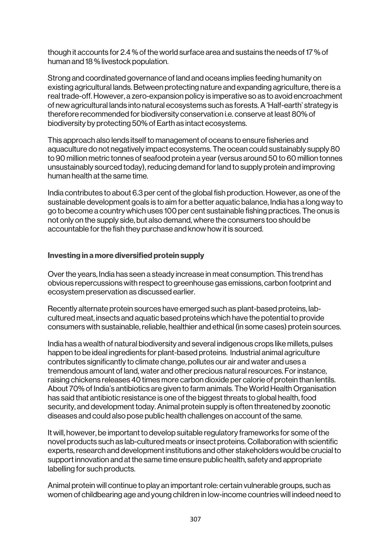though it accounts for 2.4 % of the world surface area and sustains the needs of 17 % of human and 18 % livestock population.

Strong and coordinated governance of land and oceans implies feeding humanity on existing agricultural lands. Between protecting nature and expanding agriculture, there is a real trade-off. However, a zero-expansion policy is imperative so as to avoid encroachment of new agricultural lands into natural ecosystems such as forests. A 'Half-earth' strategy is therefore recommended for biodiversity conservation i.e. conserve at least 80% of biodiversity by protecting 50% of Earth as intact ecosystems.

This approach also lends itself to management of oceans to ensure fisheries and aquaculture do not negatively impact ecosystems. The ocean could sustainably supply 80 to 90 million metric tonnes of seafood protein a year (versus around 50 to 60 million tonnes unsustainably sourced today), reducing demand for land to supply protein and improving human health at the same time.

India contributes to about 6.3 per cent of the global fish production. However, as one of the sustainable development goals is to aim for a better aquatic balance, India has a long way to go to become a country which uses 100 per cent sustainable fishing practices. The onus is not only on the supply side, but also demand, where the consumers too should be accountable for the fish they purchase and know how it is sourced.

### Investing in a more diversified protein supply

Over the years, India has seen a steady increase in meat consumption. This trend has obvious repercussions with respect to greenhouse gas emissions, carbon footprint and ecosystem preservation as discussed earlier.

Recently alternate protein sources have emerged such as plant-based proteins, labcultured meat, insects and aquatic based proteins which have the potential to provide consumers with sustainable, reliable, healthier and ethical (in some cases) protein sources.

India has a wealth of natural biodiversity and several indigenous crops like millets, pulses happen to be ideal ingredients for plant-based proteins. Industrial animal agriculture contributes significantly to climate change, pollutes our air and water and uses a tremendous amount of land, water and other precious natural resources. For instance, raising chickens releases 40 times more carbon dioxide per calorie of protein than lentils. About 70% of India's antibiotics are given to farm animals. The World Health Organisation has said that antibiotic resistance is one of the biggest threats to global health, food security, and development today. Animal protein supply is often threatened by zoonotic diseases and could also pose public health challenges on account of the same.

It will, however, be important to develop suitable regulatory frameworks for some of the novel products such as lab-cultured meats or insect proteins. Collaboration with scientific experts, research and development institutions and other stakeholders would be crucial to support innovation and at the same time ensure public health, safety and appropriate labelling for such products.

Animal protein will continue to play an important role: certain vulnerable groups, such as women of childbearing age and young children in low-income countries will indeed need to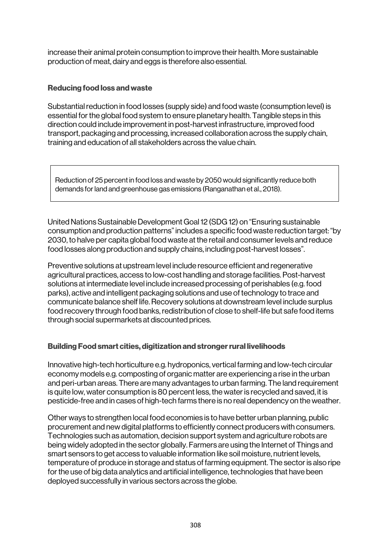increase their animal protein consumption to improve their health. More sustainable production of meat, dairy and eggs is therefore also essential.

### Reducing food loss and waste

Substantial reduction in food losses (supply side) and food waste (consumption level) is essential for the global food system to ensure planetary health. Tangible steps in this direction could include improvement in post-harvest infrastructure, improved food transport, packaging and processing, increased collaboration across the supply chain, training and education of all stakeholders across the value chain.

Reduction of 25 percent in food loss and waste by 2050 would significantly reduce both demands for land and greenhouse gas emissions (Ranganathan et al., 2018).

United Nations Sustainable Development Goal 12 (SDG 12) on "Ensuring sustainable consumption and production patterns" includes a specific food waste reduction target: "by 2030, to halve per capita global food waste at the retail and consumer levels and reduce food losses along production and supply chains, including post-harvest losses".

Preventive solutions at upstream level include resource efficient and regenerative agricultural practices, access to low-cost handling and storage facilities. Post-harvest solutions at intermediate level include increased processing of perishables (e.g. food parks), active and intelligent packaging solutions and use of technology to trace and communicate balance shelf life. Recovery solutions at downstream level include surplus food recovery through food banks, redistribution of close to shelf-life but safe food items through social supermarkets at discounted prices.

# Building Food smart cities, digitization and stronger rural livelihoods

Innovative high-tech horticulture e.g. hydroponics, vertical farming and low-tech circular economy models e.g. composting of organic matter are experiencing a rise in the urban and peri-urban areas. There are many advantages to urban farming. The land requirement is quite low, water consumption is 80 percent less, the water is recycled and saved, it is pesticide-free and in cases of high-tech farms there is no real dependency on the weather.

Other ways to strengthen local food economies is to have better urban planning, public procurement and new digital platforms to efficiently connect producers with consumers. Technologies such as automation, decision support system and agriculture robots are being widely adopted in the sector globally. Farmers are using the Internet of Things and smart sensors to get access to valuable information like soil moisture, nutrient levels, temperature of produce in storage and status of farming equipment. The sector is also ripe for the use of big data analytics and artificial intelligence, technologies that have been deployed successfully in various sectors across the globe.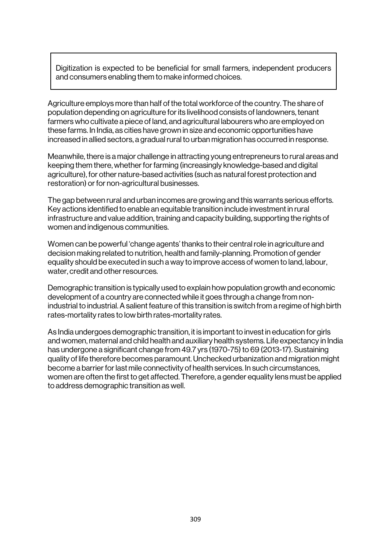Digitization is expected to be beneficial for small farmers, independent producers and consumers enabling them to make informed choices.

Agriculture employs more than half of the total workforce of the country. The share of population depending on agriculture for its livelihood consists of landowners, tenant farmers who cultivate a piece of land, and agricultural labourers who are employed on these farms. In India, as cities have grown in size and economic opportunities have increased in allied sectors, a gradual rural to urban migration has occurred in response.

Meanwhile, there is a major challenge in attracting young entrepreneurs to rural areas and keeping them there, whether for farming (increasingly knowledge-based and digital agriculture), for other nature-based activities (such as natural forest protection and restoration) or for non-agricultural businesses.

The gap between rural and urban incomes are growing and this warrants serious efforts. Key actions identified to enable an equitable transition include investment in rural infrastructure and value addition, training and capacity building, supporting the rights of women and indigenous communities.

Women can be powerful 'change agents' thanks to their central role in agriculture and decision making related to nutrition, health and family-planning. Promotion of gender equality should be executed in such a way to improve access of women to land, labour, water, credit and other resources.

Demographic transition is typically used to explain how population growth and economic development of a country are connected while it goes through a change from nonindustrial to industrial. A salient feature of this transition is switch from a regime of high birth rates-mortality rates to low birth rates-mortality rates.

As India undergoes demographic transition, it is important to invest in education for girls and women, maternal and child health and auxiliary health systems. Life expectancy in India has undergone a significant change from 49.7 yrs (1970-75) to 69 (2013-17). Sustaining quality of life therefore becomes paramount. Unchecked urbanization and migration might become a barrier for last mile connectivity of health services. In such circumstances, women are often the first to get affected. Therefore, a gender equality lens must be applied to address demographic transition as well.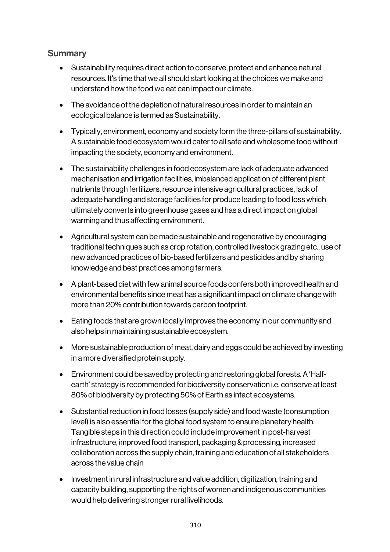# **Summary**

- Sustainability requires direct action to conserve, protect and enhance natural resources. It's time that we all should start looking at the choices we make and understand how the food we eat can impact our climate.
- The avoidance of the depletion of natural resources in order to maintain an ecological balance is termed as Sustainability.
- Typically, environment, economy and society form the three-pillars of sustainability. A sustainable food ecosystem would cater to all safe and wholesome food without impacting the society, economy and environment.
- The sustainability challenges in food ecosystem are lack of adequate advanced mechanisation and irrigation facilities, imbalanced application of different plant nutrients through fertilizers, resource intensive agricultural practices, lack of adequate handling and storage facilities for produce leading to food loss which ultimately converts into greenhouse gases and has a direct impact on global warming and thus affecting environment.
- Agricultural system can be made sustainable and regenerative by encouraging traditional techniques such as crop rotation, controlled livestock grazing etc., use of new advanced practices of bio-based fertilizers and pesticides and by sharing knowledge and best practices among farmers.
- A plant-based diet with few animal source foods confers both improved health and environmental benefits since meat has a significant impact on climate change with more than 20% contribution towards carbon footprint.
- Eating foods that are grown locally improves the economy in our community and also helps in maintaining sustainable ecosystem.
- More sustainable production of meat, dairy and eggs could be achieved by investing in a more diversified protein supply.
- Environment could be saved by protecting and restoring global forests. A 'Halfearth' strategy is recommended for biodiversity conservation i.e. conserve at least 80% of biodiversity by protecting 50% of Earth as intact ecosystems.
- Substantial reduction in food losses (supply side) and food waste (consumption level) is also essential for the global food system to ensure planetary health. Tangible steps in this direction could include improvement in post-harvest infrastructure, improved food transport, packaging & processing, increased collaboration across the supply chain, training and education of all stakeholders across the value chain
- Investment in rural infrastructure and value addition, digitization, training and capacity building, supporting the rights of women and indigenous communities would help delivering stronger rural livelihoods.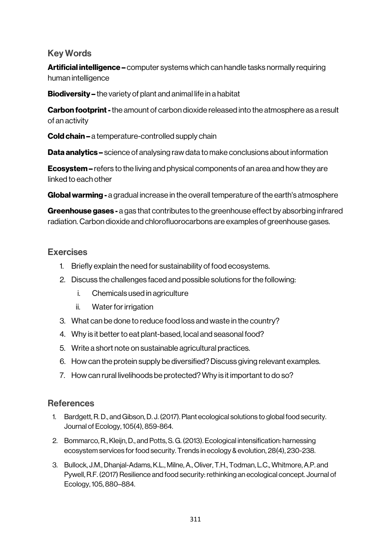# Key Words

Artificial intelligence – computer systems which can handle tasks normally requiring human intelligence

Biodiversity – the variety of plant and animal life in a habitat

**Carbon footprint -** the amount of carbon dioxide released into the atmosphere as a result of an activity

**Cold chain –** a temperature-controlled supply chain

**Data analytics –** science of analysing raw data to make conclusions about information

Ecosystem – refers to the living and physical components of an area and how they are linked to each other

**Global warming -** a gradual increase in the overall temperature of the earth's atmosphere

Greenhouse gases - a gas that contributes to the greenhouse effect by absorbing infrared radiation. Carbon dioxide and chlorofluorocarbons are examples of greenhouse gases.

# **Exercises**

- 1. Briefly explain the need for sustainability of food ecosystems.
- 2. Discuss the challenges faced and possible solutions for the following:
	- i. Chemicals used in agriculture
	- ii. Water for irrigation
- 3. What can be done to reduce food loss and waste in the country?
- 4. Why is it better to eat plant-based, local and seasonal food?
- 5. Write a short note on sustainable agricultural practices.
- 6. How can the protein supply be diversified? Discuss giving relevant examples.
- 7. How can rural livelihoods be protected? Why is it important to do so?

# **References**

- 1. Bardgett, R. D., and Gibson, D. J. (2017). Plant ecological solutions to global food security. Journal of Ecology, 105(4), 859-864.
- 2. Bommarco, R., Kleijn, D., and Potts, S. G. (2013). Ecological intensification: harnessing ecosystem services for food security. Trends in ecology & evolution, 28(4), 230-238.
- 3. Bullock, J.M., Dhanjal-Adams, K.L., Milne, A., Oliver, T.H., Todman, L.C., Whitmore, A.P. and Pywell, R.F. (2017) Resilience and food security: rethinking an ecological concept. Journal of Ecology, 105, 880–884.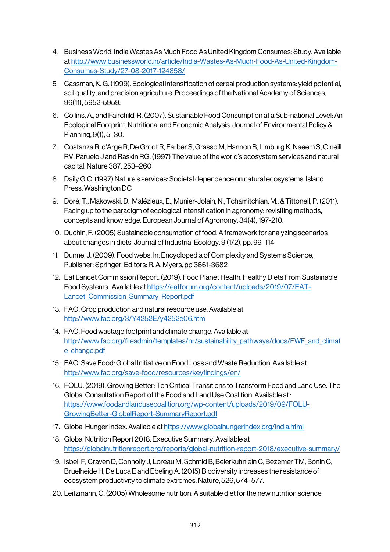- 4. Business World. India Wastes As Much Food As United Kingdom Consumes: Study. Available at http://www.businessworld.in/article/India-Wastes-As-Much-Food-As-United-Kingdom-Consumes-Study/27-08-2017-124858/
- 5. Cassman, K. G. (1999). Ecological intensification of cereal production systems: yield potential, soil quality, and precision agriculture. Proceedings of the National Academy of Sciences, 96(11), 5952-5959.
- 6. Collins, A., and Fairchild, R. (2007).Sustainable Food Consumption at a Sub-national Level: An Ecological Footprint, Nutritional and Economic Analysis. Journal of Environmental Policy & Planning, 9(1), 5–30.
- 7. Costanza R, d'Arge R, De Groot R, Farber S, Grasso M, Hannon B, Limburg K, Naeem S, O'neill RV, Paruelo J and Raskin RG. (1997) The value of the world's ecosystem services and natural capital. Nature 387, 253–260
- 8. Daily G.C. (1997) Nature's services: Societal dependence on natural ecosystems. Island Press, Washington DC
- 9. Doré, T., Makowski, D., Malézieux, E., Munier-Jolain, N., Tchamitchian, M., & Tittonell, P. (2011). Facing up to the paradigm of ecological intensification in agronomy: revisiting methods, concepts and knowledge. European Journal of Agronomy, 34(4), 197-210.
- 10. Duchin, F. (2005) Sustainable consumption of food. A framework for analyzing scenarios about changes in diets, Journal of Industrial Ecology, 9 (1/2), pp. 99–114
- 11. Dunne, J. (2009). Food webs. In: Encyclopedia of Complexity and Systems Science, Publisher: Springer, Editors: R. A. Myers, pp.3661-3682
- 12. Eat Lancet Commission Report. (2019). Food Planet Health. Healthy Diets From Sustainable Food Systems. Available at https://eatforum.org/content/uploads/2019/07/EAT-Lancet Commission Summary Report.pdf
- 13. FAO. Crop production and natural resource use. Available at http://www.fao.org/3/Y4252E/y4252e06.htm
- 14. FAO. Food wastage footprint and climate change. Available at http://www.fao.org/fileadmin/templates/nr/sustainability\_pathways/docs/FWF\_and\_climat e change.pdf
- 15. FAO. Save Food: Global Initiative on Food Loss and Waste Reduction. Available at http://www.fao.org/save-food/resources/keyfindings/en/
- 16. FOLU. (2019). Growing Better: Ten Critical Transitions to Transform Food and Land Use. The Global Consultation Report of the Food and Land Use Coalition. Available at : https://www.foodandlandusecoalition.org/wp-content/uploads/2019/09/FOLU-GrowingBetter-GlobalReport-SummaryReport.pdf
- 17. Global Hunger Index. Available at https://www.globalhungerindex.org/india.html
- 18. Global Nutrition Report 2018. Executive Summary. Available at https://globalnutritionreport.org/reports/global-nutrition-report-2018/executive-summary/
- 19. Isbell F, Craven D, Connolly J, Loreau M, Schmid B, Beierkuhnlein C, Bezemer TM, Bonin C, Bruelheide H, De Luca E and Ebeling A. (2015) Biodiversity increases the resistance of ecosystem productivity to climate extremes. Nature, 526, 574–577.
- 20. Leitzmann, C. (2005) Wholesome nutrition: A suitable diet for the new nutrition science